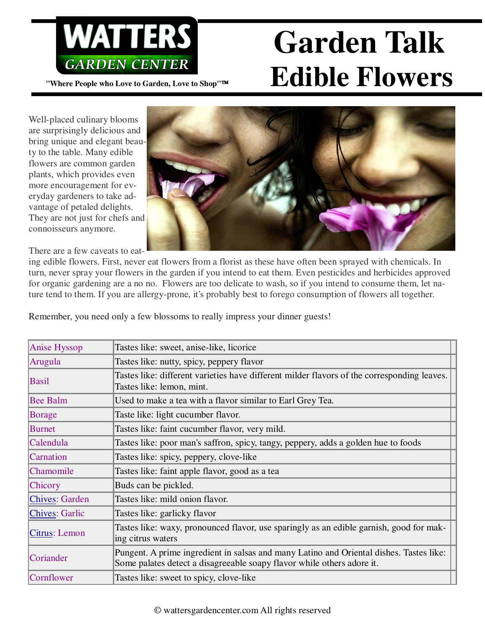

## WATTERS Garden Talk **"Where People who Love to Garden, Love to Shop"™ Edible Flowers**

Well-placed culinary blooms are surprisingly delicious and bring unique and elegant beauty to the table. Many edible flowers are common garden plants, which provides even more encouragement for everyday gardeners to take advantage of petaled delights. They are not just for chefs and connoisseurs anymore.

There are a few caveats to eat-



ing edible flowers. First, never eat flowers from a florist as these have often been sprayed with chemicals. In turn, never spray your flowers in the garden if you intend to eat them. Even pesticides and herbicides approved for organic gardening are a no no. Flowers are too delicate to wash, so if you intend to consume them, let nature tend to them. If you are allergy-prone, it's probably best to forego consumption of flowers all together.

Remember, you need only a few blossoms to really impress your dinner guests!

| <b>Anise Hyssop</b>   | Tastes like: sweet, anise-like, licorice                                                                                                                          |
|-----------------------|-------------------------------------------------------------------------------------------------------------------------------------------------------------------|
| Arugula               | Tastes like: nutty, spicy, peppery flavor                                                                                                                         |
| <b>Basil</b>          | Tastes like: different varieties have different milder flavors of the corresponding leaves.<br>Tastes like: lemon, mint.                                          |
| <b>Bee Balm</b>       | Used to make a tea with a flavor similar to Earl Grey Tea.                                                                                                        |
| <b>Borage</b>         | Taste like: light cucumber flavor.                                                                                                                                |
| <b>Burnet</b>         | Tastes like: faint cucumber flavor, very mild.                                                                                                                    |
| Calendula             | Tastes like: poor man's saffron, spicy, tangy, peppery, adds a golden hue to foods                                                                                |
| Carnation             | Tastes like: spicy, peppery, clove-like                                                                                                                           |
| Chamomile             | Tastes like: faint apple flavor, good as a tea                                                                                                                    |
| Chicory               | Buds can be pickled.                                                                                                                                              |
| <b>Chives: Garden</b> | Tastes like: mild onion flavor.                                                                                                                                   |
| <b>Chives: Garlic</b> | Tastes like: garlicky flavor                                                                                                                                      |
| Citrus: Lemon         | Tastes like: waxy, pronounced flavor, use sparingly as an edible garnish, good for mak-<br>ing citrus waters                                                      |
| Coriander             | Pungent. A prime ingredient in salsas and many Latino and Oriental dishes. Tastes like:<br>Some palates detect a disagreeable soapy flavor while others adore it. |
| Cornflower            | Tastes like: sweet to spicy, clove-like                                                                                                                           |